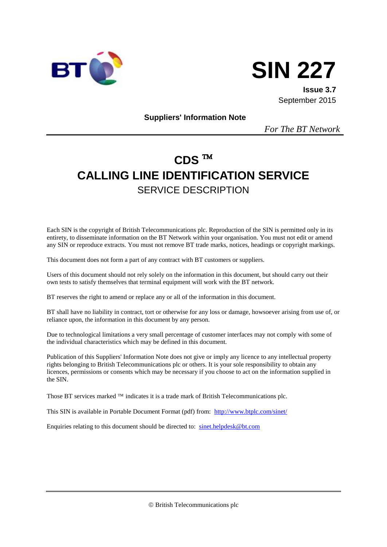



**Issue 3.7** September 2015

**Suppliers' Information Note**

*For The BT Network*

# **CDS CALLING LINE IDENTIFICATION SERVICE** SERVICE DESCRIPTION

Each SIN is the copyright of British Telecommunications plc. Reproduction of the SIN is permitted only in its entirety, to disseminate information on the BT Network within your organisation. You must not edit or amend any SIN or reproduce extracts. You must not remove BT trade marks, notices, headings or copyright markings.

This document does not form a part of any contract with BT customers or suppliers.

Users of this document should not rely solely on the information in this document, but should carry out their own tests to satisfy themselves that terminal equipment will work with the BT network.

BT reserves the right to amend or replace any or all of the information in this document.

BT shall have no liability in contract, tort or otherwise for any loss or damage, howsoever arising from use of, or reliance upon, the information in this document by any person.

Due to technological limitations a very small percentage of customer interfaces may not comply with some of the individual characteristics which may be defined in this document.

Publication of this Suppliers' Information Note does not give or imply any licence to any intellectual property rights belonging to British Telecommunications plc or others. It is your sole responsibility to obtain any licences, permissions or consents which may be necessary if you choose to act on the information supplied in the SIN.

Those BT services marked  $TM$  indicates it is a trade mark of British Telecommunications plc.

This SIN is available in Portable Document Format (pdf) from: <http://www.btplc.com/sinet/>

Enquiries relating to this document should be directed to: [sinet.helpdesk@bt.com](mailto:sinet.helpdesk@bt.com)

British Telecommunications plc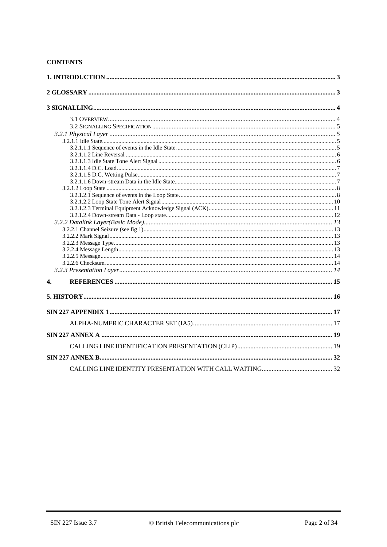### **CONTENTS**

| 4. |  |
|----|--|
|    |  |
|    |  |
|    |  |
|    |  |
|    |  |
|    |  |
|    |  |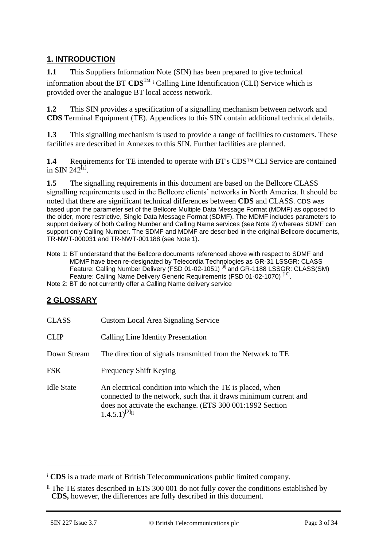### **1. INTRODUCTION**

**1.1** This Suppliers Information Note (SIN) has been prepared to give technical information about the BT  $CDS^{TM}$  i Calling Line Identification (CLI) Service which is provided over the analogue BT local access network.

**1.2** This SIN provides a specification of a signalling mechanism between network and **CDS** Terminal Equipment (TE). Appendices to this SIN contain additional technical details.

**1.3** This signalling mechanism is used to provide a range of facilities to customers. These facilities are described in Annexes to this SIN. Further facilities are planned.

**1.4** Requirements for TE intended to operate with BT's CDS™ CLI Service are contained in SIN 242<sup>[[1](#page-14-0)]</sup>.

**1.5** The signalling requirements in this document are based on the Bellcore CLASS signalling requirements used in the Bellcore clients' networks in North America. It should be noted that there are significant technical differences between **CDS** and CLASS. CDS was based upon the parameter set of the Bellcore Multiple Data Message Format (MDMF) as opposed to the older, more restrictive, Single Data Message Format (SDMF). The MDMF includes parameters to support delivery of both Calling Number and Calling Name services (see Note 2) whereas SDMF can support only Calling Number. The SDMF and MDMF are described in the original Bellcore documents, TR-NWT-000031 and TR-NWT-001188 (see Note 1).

Note 1: BT understand that the Bellcore documents referenced above with respect to SDMF and MDMF have been re-designated by Telecordia Technologies as GR-31 LSSGR: CLASS Feature: Calling Number Delivery (FSD 01-02-1051)<sup>[9]</sup> and GR-1188 LSSGR: CLASS(SM) Feature: Calling Name Delivery Generic Requirements (FSD 01-02-1070)<sup>[10]</sup>.

Note 2: BT do not currently offer a Calling Name delivery service

### **2 GLOSSARY**

| <b>CLASS</b>      | <b>Custom Local Area Signaling Service</b>                                                                                                                                                                           |
|-------------------|----------------------------------------------------------------------------------------------------------------------------------------------------------------------------------------------------------------------|
| <b>CLIP</b>       | Calling Line Identity Presentation                                                                                                                                                                                   |
| Down Stream       | The direction of signals transmitted from the Network to TE                                                                                                                                                          |
| <b>FSK</b>        | Frequency Shift Keying                                                                                                                                                                                               |
| <b>Idle State</b> | An electrical condition into which the TE is placed, when<br>connected to the network, such that it draws minimum current and<br>does not activate the exchange. (ETS 300 001:1992 Section<br>$(1.4.5.1)^{[2]_{ii}}$ |

1

<sup>i</sup> **CDS** is a trade mark of British Telecommunications public limited company.

ii The TE states described in ETS 300 001 do not fully cover the conditions established by **CDS,** however, the differences are fully described in this document.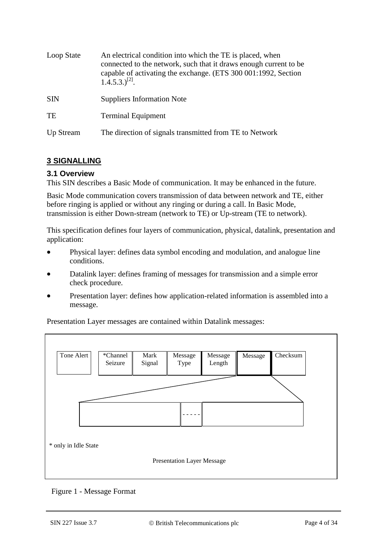| Loop State | An electrical condition into which the TE is placed, when<br>connected to the network, such that it draws enough current to be<br>capable of activating the exchange. (ETS 300 001:1992, Section<br>$1.4.5.3$ .) <sup>[2]</sup> . |
|------------|-----------------------------------------------------------------------------------------------------------------------------------------------------------------------------------------------------------------------------------|
| <b>SIN</b> | <b>Suppliers Information Note</b>                                                                                                                                                                                                 |
| <b>TE</b>  | <b>Terminal Equipment</b>                                                                                                                                                                                                         |
| Up Stream  | The direction of signals transmitted from TE to Network                                                                                                                                                                           |

### **3 SIGNALLING**

### **3.1 Overview**

This SIN describes a Basic Mode of communication. It may be enhanced in the future.

Basic Mode communication covers transmission of data between network and TE, either before ringing is applied or without any ringing or during a call. In Basic Mode, transmission is either Down-stream (network to TE) or Up-stream (TE to network).

This specification defines four layers of communication, physical, datalink, presentation and application:

- Physical layer: defines data symbol encoding and modulation, and analogue line conditions.
- Datalink layer: defines framing of messages for transmission and a simple error check procedure.
- Presentation layer: defines how application-related information is assembled into a message.

Tone Alert | \*Channel Seizure Message Type Mark Signal Message Length Message Checksum - - - - - Presentation Layer Message \* only in Idle State

Presentation Layer messages are contained within Datalink messages:

Figure 1 - Message Format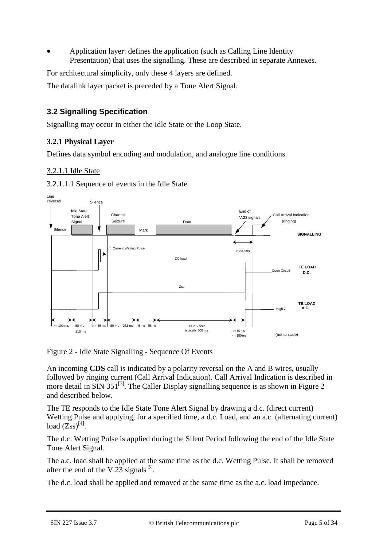Application layer: defines the application (such as Calling Line Identity Presentation) that uses the signalling. These are described in separate Annexes.

For architectural simplicity, only these 4 layers are defined.

The datalink layer packet is preceded by a Tone Alert Signal.

### **3.2 Signalling Specification**

Signalling may occur in either the Idle State or the Loop State.

### **3.2.1 Physical Layer**

Defines data symbol encoding and modulation, and analogue line conditions.

### 3.2.1.1 Idle State

3.2.1.1.1 Sequence of events in the Idle State.



Figure 2 - Idle State Signalling - Sequence Of Events

An incoming **CDS** call is indicated by a polarity reversal on the A and B wires, usually followed by ringing current (Call Arrival Indication). Call Arrival Indication is described in more detail in SIN  $351^{[3]}$  $351^{[3]}$  $351^{[3]}$ . The Caller Display signalling sequence is as shown in Figure 2 and described below.

The TE responds to the Idle State Tone Alert Signal by drawing a d.c. (direct current) Wetting Pulse and applying, for a specified time, a d.c. Load, and an a.c. (alternating current) load  $(\overline{Zss})^{[4]}$  $(\overline{Zss})^{[4]}$  $(\overline{Zss})^{[4]}$ .

The d.c. Wetting Pulse is applied during the Silent Period following the end of the Idle State Tone Alert Signal.

The a.c. load shall be applied at the same time as the d.c. Wetting Pulse. It shall be removed after the end of the V.23 signals<sup>[\[5\]](#page-14-4)</sup>.

The d.c. load shall be applied and removed at the same time as the a.c. load impedance.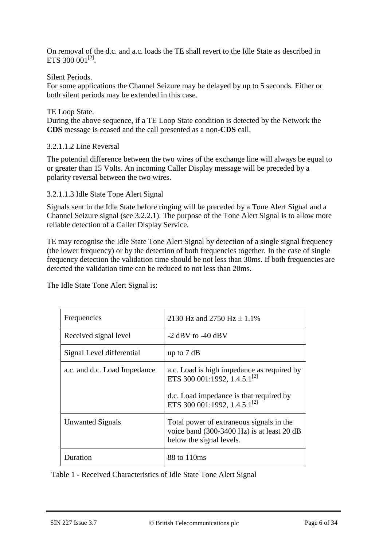On removal of the d.c. and a.c. loads the TE shall revert to the Idle State as described in ETS 300 00 $1^{[2]}$  $1^{[2]}$  $1^{[2]}$ .

### Silent Periods.

For some applications the Channel Seizure may be delayed by up to 5 seconds. Either or both silent periods may be extended in this case.

#### TE Loop State.

During the above sequence, if a TE Loop State condition is detected by the Network the **CDS** message is ceased and the call presented as a non-**CDS** call.

### 3.2.1.1.2 Line Reversal

The potential difference between the two wires of the exchange line will always be equal to or greater than 15 Volts. An incoming Caller Display message will be preceded by a polarity reversal between the two wires.

### 3.2.1.1.3 Idle State Tone Alert Signal

Signals sent in the Idle State before ringing will be preceded by a Tone Alert Signal and a Channel Seizure signal (see [3.2.2.1\)](#page-12-0). The purpose of the Tone Alert Signal is to allow more reliable detection of a Caller Display Service.

TE may recognise the Idle State Tone Alert Signal by detection of a single signal frequency (the lower frequency) or by the detection of both frequencies together. In the case of single frequency detection the validation time should be not less than 30ms. If both frequencies are detected the validation time can be reduced to not less than 20ms.

The Idle State Tone Alert Signal is:

| Frequencies                  | 2130 Hz and 2750 Hz $\pm$ 1.1%                                                                                     |
|------------------------------|--------------------------------------------------------------------------------------------------------------------|
| Received signal level        | $-2$ dBV to $-40$ dBV                                                                                              |
| Signal Level differential    | up to $7 dB$                                                                                                       |
| a.c. and d.c. Load Impedance | a.c. Load is high impedance as required by<br>ETS 300 001:1992, 1.4.5.1 <sup>[2]</sup>                             |
|                              | d.c. Load impedance is that required by<br>ETS 300 001:1992, 1.4.5.1 <sup>[2]</sup>                                |
| Unwanted Signals             | Total power of extraneous signals in the<br>voice band (300-3400 Hz) is at least 20 dB<br>below the signal levels. |
| Duration                     | 88 to 110ms                                                                                                        |

Table 1 - Received Characteristics of Idle State Tone Alert Signal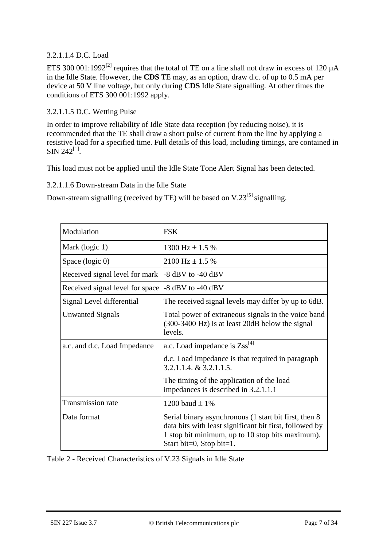### 3.2.1.1.4 D.C. Load

ETS 300 001:1992<sup>[\[2\]](#page-14-1)</sup> requires that the total of TE on a line shall not draw in excess of 120  $\mu$ A in the Idle State. However, the **CDS** TE may, as an option, draw d.c. of up to 0.5 mA per device at 50 V line voltage, but only during **CDS** Idle State signalling. At other times the conditions of ETS 300 001:1992 apply.

### 3.2.1.1.5 D.C. Wetting Pulse

In order to improve reliability of Idle State data reception (by reducing noise), it is recommended that the TE shall draw a short pulse of current from the line by applying a resistive load for a specified time. Full details of this load, including timings, are contained in  $\rm SIN$  242<sup>[\[1\]](#page-14-0)</sup>.

This load must not be applied until the Idle State Tone Alert Signal has been detected.

3.2.1.1.6 Down-stream Data in the Idle State

Down-stream signalling (received by TE) will be based on  $V.23^{5}$  signalling.

| Modulation                      | <b>FSK</b>                                                                                                                                                                                       |
|---------------------------------|--------------------------------------------------------------------------------------------------------------------------------------------------------------------------------------------------|
| Mark (logic 1)                  | 1300 Hz $\pm$ 1.5 %                                                                                                                                                                              |
| Space (logic 0)                 | $2100$ Hz $\pm$ 1.5 %                                                                                                                                                                            |
| Received signal level for mark  | $-8$ dBV to $-40$ dBV                                                                                                                                                                            |
| Received signal level for space | $-8$ dBV to $-40$ dBV                                                                                                                                                                            |
| Signal Level differential       | The received signal levels may differ by up to 6dB.                                                                                                                                              |
| <b>Unwanted Signals</b>         | Total power of extraneous signals in the voice band<br>(300-3400 Hz) is at least 20dB below the signal<br>levels.                                                                                |
| a.c. and d.c. Load Impedance    | a.c. Load impedance is $Zss^{[4]}$                                                                                                                                                               |
|                                 | d.c. Load impedance is that required in paragraph<br>$3.2.1.1.4$ , & $3.2.1.1.5$ .                                                                                                               |
|                                 | The timing of the application of the load<br>impedances is described in 3.2.1.1.1                                                                                                                |
| <b>Transmission rate</b>        | 1200 baud $\pm$ 1%                                                                                                                                                                               |
| Data format                     | Serial binary asynchronous (1 start bit first, then 8<br>data bits with least significant bit first, followed by<br>1 stop bit minimum, up to 10 stop bits maximum).<br>Start bit=0, Stop bit=1. |

Table 2 - Received Characteristics of V.23 Signals in Idle State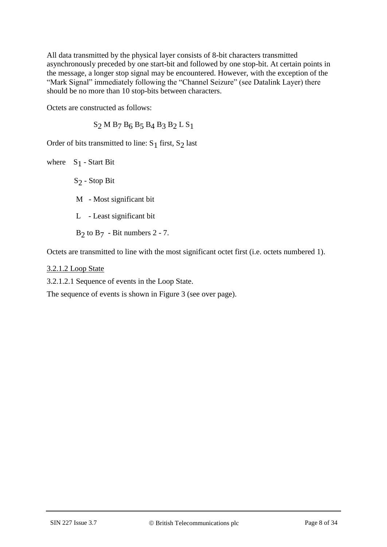All data transmitted by the physical layer consists of 8-bit characters transmitted asynchronously preceded by one start-bit and followed by one stop-bit. At certain points in the message, a longer stop signal may be encountered. However, with the exception of the "Mark Signal" immediately following the "Channel Seizure" (see Datalink Layer) there should be no more than 10 stop-bits between characters.

Octets are constructed as follows:

 $S<sub>2</sub>$  M B<sub>7</sub> B<sub>6</sub> B<sub>5</sub> B<sub>4</sub> B<sub>3</sub> B<sub>2</sub> L S<sub>1</sub>

Order of bits transmitted to line:  $S_1$  first,  $S_2$  last

where S<sub>1</sub> - Start Bit S2 - Stop Bit M - Most significant bit L - Least significant bit  $B_2$  to  $B_7$  - Bit numbers 2 - 7.

Octets are transmitted to line with the most significant octet first (i.e. octets numbered 1).

3.2.1.2 Loop State

3.2.1.2.1 Sequence of events in the Loop State.

The sequence of events is shown in Figure 3 (see over page).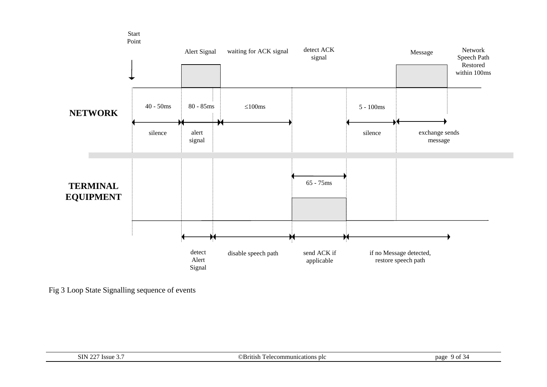

Fig 3 Loop State Signalling sequence of events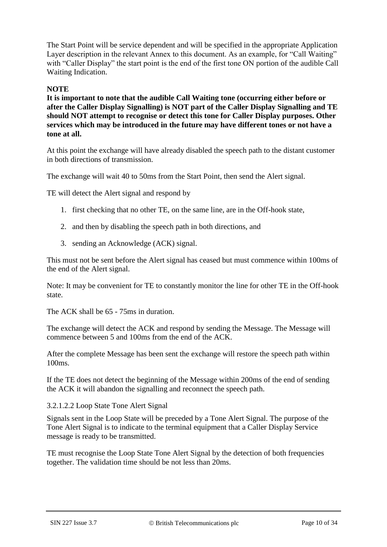The Start Point will be service dependent and will be specified in the appropriate Application Layer description in the relevant Annex to this document. As an example, for "Call Waiting" with "Caller Display" the start point is the end of the first tone ON portion of the audible Call Waiting Indication.

### **NOTE**

**It is important to note that the audible Call Waiting tone (occurring either before or after the Caller Display Signalling) is NOT part of the Caller Display Signalling and TE should NOT attempt to recognise or detect this tone for Caller Display purposes. Other services which may be introduced in the future may have different tones or not have a tone at all.**

At this point the exchange will have already disabled the speech path to the distant customer in both directions of transmission.

The exchange will wait 40 to 50ms from the Start Point, then send the Alert signal.

TE will detect the Alert signal and respond by

- 1. first checking that no other TE, on the same line, are in the Off-hook state,
- 2. and then by disabling the speech path in both directions, and
- 3. sending an Acknowledge (ACK) signal.

This must not be sent before the Alert signal has ceased but must commence within 100ms of the end of the Alert signal.

Note: It may be convenient for TE to constantly monitor the line for other TE in the Off-hook state.

The ACK shall be 65 - 75ms in duration.

The exchange will detect the ACK and respond by sending the Message. The Message will commence between 5 and 100ms from the end of the ACK.

After the complete Message has been sent the exchange will restore the speech path within 100ms.

If the TE does not detect the beginning of the Message within 200ms of the end of sending the ACK it will abandon the signalling and reconnect the speech path.

3.2.1.2.2 Loop State Tone Alert Signal

Signals sent in the Loop State will be preceded by a Tone Alert Signal. The purpose of the Tone Alert Signal is to indicate to the terminal equipment that a Caller Display Service message is ready to be transmitted.

TE must recognise the Loop State Tone Alert Signal by the detection of both frequencies together. The validation time should be not less than 20ms.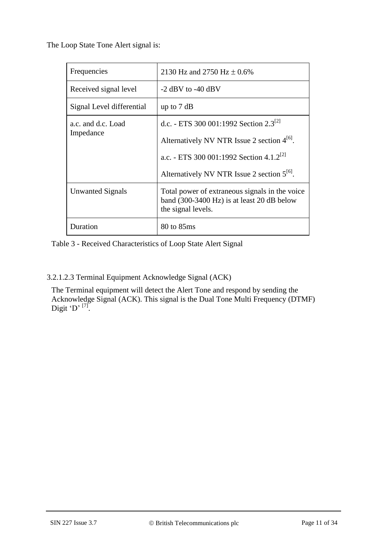The Loop State Tone Alert signal is:

| Frequencies                     | 2130 Hz and 2750 Hz $\pm$ 0.6%                                                                                               |
|---------------------------------|------------------------------------------------------------------------------------------------------------------------------|
| Received signal level           | $-2$ dBV to $-40$ dBV                                                                                                        |
| Signal Level differential       | up to $7 dB$                                                                                                                 |
| a.c. and d.c. Load<br>Impedance | d.c. - ETS 300 001:1992 Section 2.3 <sup>[2]</sup>                                                                           |
|                                 | Alternatively NV NTR Issue 2 section $4^{16}$ .                                                                              |
|                                 | a.c. - ETS 300 001:1992 Section 4.1.2 <sup>[2]</sup>                                                                         |
|                                 | Alternatively NV NTR Issue 2 section $5^{16}$ .                                                                              |
| Unwanted Signals                | Total power of extraneous signals in the voice<br>band $(300-3400 \text{ Hz})$ is at least 20 dB below<br>the signal levels. |
| Duration                        | 80 to 85ms                                                                                                                   |

Table 3 - Received Characteristics of Loop State Alert Signal

### 3.2.1.2.3 Terminal Equipment Acknowledge Signal (ACK)

The Terminal equipment will detect the Alert Tone and respond by sending the Acknowledge Signal (ACK). This signal is the Dual Tone Multi Frequency (DTMF) Digit 'D'  $^{[7]}$  $^{[7]}$  $^{[7]}$ .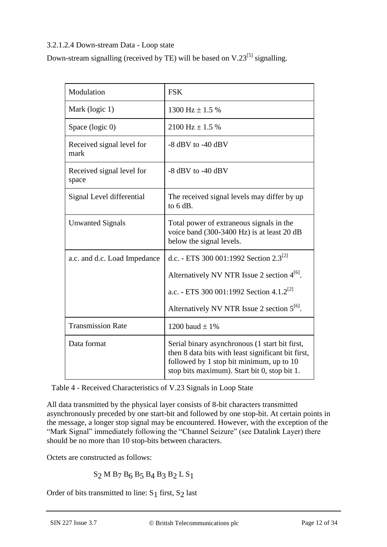### 3.2.1.2.4 Down-stream Data - Loop state

Down-stream signalling (received by TE) will be based on  $V.23^{[5]}$  $V.23^{[5]}$  $V.23^{[5]}$  signalling.

| Modulation                         | <b>FSK</b>                                                                                                                                                                                       |
|------------------------------------|--------------------------------------------------------------------------------------------------------------------------------------------------------------------------------------------------|
| Mark (logic 1)                     | 1300 Hz $\pm$ 1.5 %                                                                                                                                                                              |
| Space (logic 0)                    | 2100 Hz $\pm$ 1.5 %                                                                                                                                                                              |
| Received signal level for<br>mark  | $-8$ dBV to $-40$ dBV                                                                                                                                                                            |
| Received signal level for<br>space | $-8$ dBV to $-40$ dBV                                                                                                                                                                            |
| Signal Level differential          | The received signal levels may differ by up<br>to $6 dB$ .                                                                                                                                       |
| <b>Unwanted Signals</b>            | Total power of extraneous signals in the<br>voice band (300-3400 Hz) is at least 20 dB<br>below the signal levels.                                                                               |
| a.c. and d.c. Load Impedance       | d.c. - ETS 300 001:1992 Section $2.3^{[2]}$                                                                                                                                                      |
|                                    | Alternatively NV NTR Issue 2 section $4^{[6]}$ .                                                                                                                                                 |
|                                    | a.c. - ETS 300 001:1992 Section 4.1.2 <sup>[2]</sup>                                                                                                                                             |
|                                    | Alternatively NV NTR Issue 2 section $5^{[6]}$ .                                                                                                                                                 |
| <b>Transmission Rate</b>           | 1200 baud $\pm$ 1%                                                                                                                                                                               |
| Data format                        | Serial binary asynchronous (1 start bit first,<br>then 8 data bits with least significant bit first,<br>followed by 1 stop bit minimum, up to 10<br>stop bits maximum). Start bit 0, stop bit 1. |

Table 4 - Received Characteristics of V.23 Signals in Loop State

All data transmitted by the physical layer consists of 8-bit characters transmitted asynchronously preceded by one start-bit and followed by one stop-bit. At certain points in the message, a longer stop signal may be encountered. However, with the exception of the "Mark Signal" immediately following the "Channel Seizure" (see Datalink Layer) there should be no more than 10 stop-bits between characters.

Octets are constructed as follows:

S2 M B7 B6 B5 B4 B3 B2 L S1

Order of bits transmitted to line:  $S_1$  first,  $S_2$  last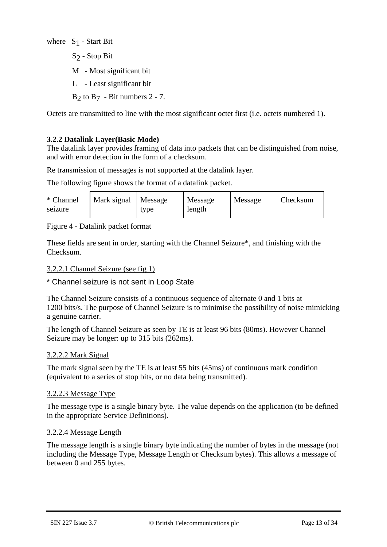where  $S_1$  - Start Bit  $S<sub>2</sub>$  - Stop Bit M - Most significant bit L - Least significant bit  $B<sub>2</sub>$  to  $B<sub>7</sub>$  - Bit numbers 2 - 7.

Octets are transmitted to line with the most significant octet first (i.e. octets numbered 1).

### **3.2.2 Datalink Layer(Basic Mode)**

The datalink layer provides framing of data into packets that can be distinguished from noise, and with error detection in the form of a checksum.

Re transmission of messages is not supported at the datalink layer.

The following figure shows the format of a datalink packet.

| * Channel<br>seizure | Mark signal | Message<br>type | Message<br>length | Message | Checksum |
|----------------------|-------------|-----------------|-------------------|---------|----------|
|----------------------|-------------|-----------------|-------------------|---------|----------|

Figure 4 - Datalink packet format

These fields are sent in order, starting with the Channel Seizure\*, and finishing with the Checksum.

### <span id="page-12-0"></span>3.2.2.1 Channel Seizure (see fig 1)

\* Channel seizure is not sent in Loop State

The Channel Seizure consists of a continuous sequence of alternate 0 and 1 bits at 1200 bits/s. The purpose of Channel Seizure is to minimise the possibility of noise mimicking a genuine carrier.

The length of Channel Seizure as seen by TE is at least 96 bits (80ms). However Channel Seizure may be longer: up to 315 bits (262ms).

### 3.2.2.2 Mark Signal

The mark signal seen by the TE is at least 55 bits (45ms) of continuous mark condition (equivalent to a series of stop bits, or no data being transmitted).

#### 3.2.2.3 Message Type

The message type is a single binary byte. The value depends on the application (to be defined in the appropriate Service Definitions).

#### 3.2.2.4 Message Length

The message length is a single binary byte indicating the number of bytes in the message (not including the Message Type, Message Length or Checksum bytes). This allows a message of between 0 and 255 bytes.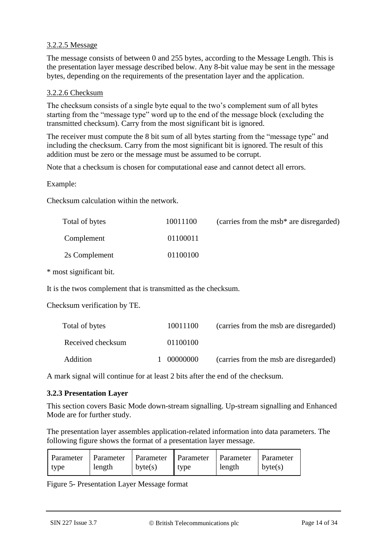### 3.2.2.5 Message

The message consists of between 0 and 255 bytes, according to the Message Length. This is the presentation layer message described below. Any 8-bit value may be sent in the message bytes, depending on the requirements of the presentation layer and the application.

### 3.2.2.6 Checksum

The checksum consists of a single byte equal to the two's complement sum of all bytes starting from the "message type" word up to the end of the message block (excluding the transmitted checksum). Carry from the most significant bit is ignored.

The receiver must compute the 8 bit sum of all bytes starting from the "message type" and including the checksum. Carry from the most significant bit is ignored. The result of this addition must be zero or the message must be assumed to be corrupt.

Note that a checksum is chosen for computational ease and cannot detect all errors.

Example:

Checksum calculation within the network.

| Total of bytes | 10011100 | (carries from the msb* are disregarded) |
|----------------|----------|-----------------------------------------|
| Complement     | 01100011 |                                         |
| 2s Complement  | 01100100 |                                         |

\* most significant bit.

It is the twos complement that is transmitted as the checksum.

Checksum verification by TE.

| Total of bytes    | 10011100   | (carries from the msb are disregarded) |
|-------------------|------------|----------------------------------------|
| Received checksum | 01100100   |                                        |
| Addition          | --00000000 | (carries from the msb are disregarded) |

A mark signal will continue for at least 2 bits after the end of the checksum.

#### **3.2.3 Presentation Layer**

This section covers Basic Mode down-stream signalling. Up-stream signalling and Enhanced Mode are for further study.

The presentation layer assembles application-related information into data parameters. The following figure shows the format of a presentation layer message.

| Parameter Parameter Parameter Parameter Parameter Parameter |        |         |      |        |             |
|-------------------------------------------------------------|--------|---------|------|--------|-------------|
| type                                                        | length | byte(s) | type | length | $ $ byte(s) |

Figure 5- Presentation Layer Message format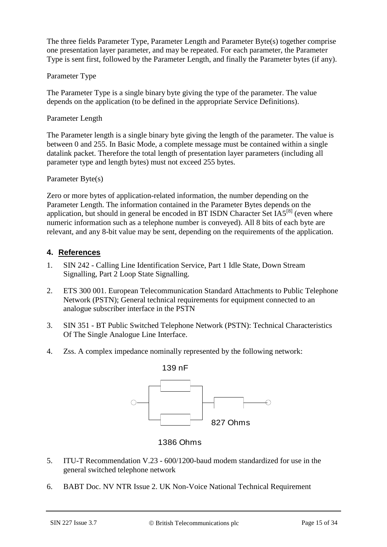The three fields Parameter Type, Parameter Length and Parameter Byte(s) together comprise one presentation layer parameter, and may be repeated. For each parameter, the Parameter Type is sent first, followed by the Parameter Length, and finally the Parameter bytes (if any).

### Parameter Type

The Parameter Type is a single binary byte giving the type of the parameter. The value depends on the application (to be defined in the appropriate Service Definitions).

### Parameter Length

The Parameter length is a single binary byte giving the length of the parameter. The value is between 0 and 255. In Basic Mode, a complete message must be contained within a single datalink packet. Therefore the total length of presentation layer parameters (including all parameter type and length bytes) must not exceed 255 bytes.

### Parameter Byte(s)

Zero or more bytes of application-related information, the number depending on the Parameter Length. The information contained in the Parameter Bytes depends on the application, but should in general be encoded in BT ISDN Character Set  $IAS^{[8]}$  $IAS^{[8]}$  $IAS^{[8]}$  (even where numeric information such as a telephone number is conveyed). All 8 bits of each byte are relevant, and any 8-bit value may be sent, depending on the requirements of the application.

### **4. References**

- <span id="page-14-0"></span>1. SIN 242 - Calling Line Identification Service, Part 1 Idle State, Down Stream Signalling, Part 2 Loop State Signalling.
- <span id="page-14-1"></span>2. ETS 300 001. European Telecommunication Standard Attachments to Public Telephone Network (PSTN); General technical requirements for equipment connected to an analogue subscriber interface in the PSTN
- <span id="page-14-2"></span>3. SIN 351 - BT Public Switched Telephone Network (PSTN): Technical Characteristics Of The Single Analogue Line Interface.
- <span id="page-14-3"></span>4. Zss. A complex impedance nominally represented by the following network:



1386 Ohms

- <span id="page-14-4"></span>5. ITU-T Recommendation V.23 - 600/1200-baud modem standardized for use in the general switched telephone network
- <span id="page-14-5"></span>6. BABT Doc. NV NTR Issue 2. UK Non-Voice National Technical Requirement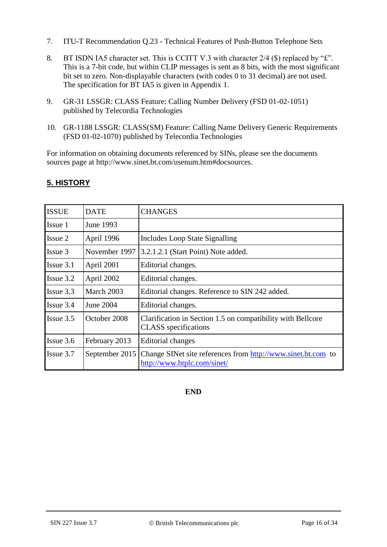- <span id="page-15-0"></span>7. ITU-T Recommendation Q.23 - Technical Features of Push-Button Telephone Sets
- <span id="page-15-1"></span>8. BT ISDN IA5 character set. This is CCITT V.3 with character 2/4 (\$) replaced by "£". This is a 7-bit code, but within CLIP messages is sent as 8 bits, with the most significant bit set to zero. Non-displayable characters (with codes 0 to 31 decimal) are not used. The specification for BT IA5 is given in Appendix 1.
- 9. GR-31 LSSGR: CLASS Feature: Calling Number Delivery (FSD 01-02-1051) published by Telecordia Technologies
- 10. GR-1188 LSSGR: CLASS(SM) Feature: Calling Name Delivery Generic Requirements (FSD 01-02-1070) published by Telecordia Technologies

For information on obtaining documents referenced by SINs, please see the documents sources page at http://www.sinet.bt.com/usenum.htm#docsources.

| <b>ISSUE</b> | <b>DATE</b>    | CHANGES                                                                                     |
|--------------|----------------|---------------------------------------------------------------------------------------------|
| Issue 1      | June 1993      |                                                                                             |
| Issue 2      | April 1996     | <b>Includes Loop State Signalling</b>                                                       |
| Issue 3      | November 1997  | 3.2.1.2.1 (Start Point) Note added.                                                         |
| Is sue 3.1   | April 2001     | Editorial changes.                                                                          |
| Is sue 3.2   | April 2002     | Editorial changes.                                                                          |
| Is sue 3.3   | March 2003     | Editorial changes. Reference to SIN 242 added.                                              |
| Is sue 3.4   | June 2004      | Editorial changes.                                                                          |
| Issue $3.5$  | October 2008   | Clarification in Section 1.5 on compatibility with Bellcore<br><b>CLASS</b> specifications  |
| Issue 3.6    | February 2013  | <b>Editorial changes</b>                                                                    |
| Issue 3.7    | September 2015 | Change SINet site references from http://www.sinet.bt.com to<br>http://www.btplc.com/sinet/ |

### **5. HISTORY**

### **END**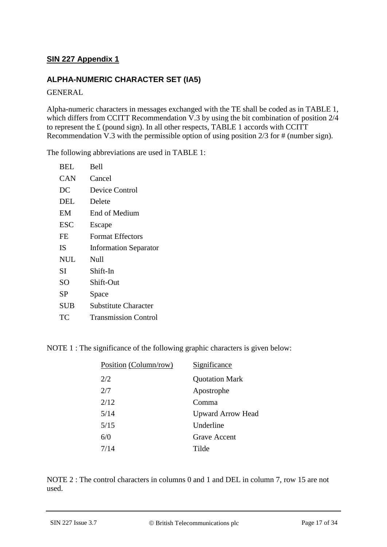### **SIN 227 Appendix 1**

### **ALPHA-NUMERIC CHARACTER SET (IA5)**

GENERAL

Alpha-numeric characters in messages exchanged with the TE shall be coded as in TABLE 1, which differs from CCITT Recommendation V.3 by using the bit combination of position 2/4 to represent the £ (pound sign). In all other respects, TABLE 1 accords with CCITT Recommendation V.3 with the permissible option of using position 2/3 for # (number sign).

The following abbreviations are used in TABLE 1:

| <b>BEL</b> | <b>Bell</b>                  |
|------------|------------------------------|
| CAN        | Cancel                       |
| DC         | Device Control               |
| DEL        | Delete                       |
| EМ         | End of Medium                |
| ESC        | Escape                       |
| FE         | <b>Format Effectors</b>      |
|            |                              |
| IS         | <b>Information Separator</b> |
| <b>NUL</b> | Null                         |
| SI         | Shift-In                     |
| SО         | Shift-Out                    |
| SP         | Space                        |
| SUB        | Substitute Character         |

NOTE 1 : The significance of the following graphic characters is given below:

| Position (Column/row) | Significance             |
|-----------------------|--------------------------|
| 2/2                   | <b>Quotation Mark</b>    |
| 2/7                   | Apostrophe               |
| 2/12                  | Comma                    |
| 5/14                  | <b>Upward Arrow Head</b> |
| 5/15                  | Underline                |
| 6/0                   | <b>Grave Accent</b>      |
| 7/14                  | Tilde                    |
|                       |                          |

NOTE 2 : The control characters in columns 0 and 1 and DEL in column 7, row 15 are not used.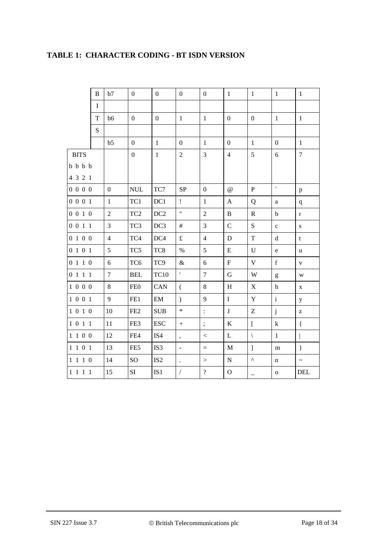|                 | B           | b7             | $\boldsymbol{0}$ | $\overline{0}$  | $\mathbf{0}$         | $\overline{0}$    | $\mathbf{1}$              | $\mathbf{1}$                   | $\mathbf{1}$                                                                                                                                                                                                                                                                                                                                                                                                                   | $\mathbf{1}$   |
|-----------------|-------------|----------------|------------------|-----------------|----------------------|-------------------|---------------------------|--------------------------------|--------------------------------------------------------------------------------------------------------------------------------------------------------------------------------------------------------------------------------------------------------------------------------------------------------------------------------------------------------------------------------------------------------------------------------|----------------|
|                 | $\mathbf I$ |                |                  |                 |                      |                   |                           |                                |                                                                                                                                                                                                                                                                                                                                                                                                                                |                |
|                 | T           | b6             | $\overline{0}$   | $\overline{0}$  | $\mathbf{1}$         | $\mathbf{1}$      | $\overline{0}$            | $\overline{0}$                 | $\mathbf{1}$                                                                                                                                                                                                                                                                                                                                                                                                                   | $\mathbf{1}$   |
|                 | $\mathbf S$ |                |                  |                 |                      |                   |                           |                                |                                                                                                                                                                                                                                                                                                                                                                                                                                |                |
|                 |             | b5             | $\overline{0}$   | $\mathbf{1}$    | $\boldsymbol{0}$     | $\mathbf{1}$      | $\boldsymbol{0}$          | $\mathbf{1}$                   | $\boldsymbol{0}$                                                                                                                                                                                                                                                                                                                                                                                                               | $\mathbf{1}$   |
| <b>BITS</b>     |             |                | $\boldsymbol{0}$ | $\mathbf{1}$    | $\overline{c}$       | 3                 | $\overline{4}$            | $\sqrt{5}$                     | $\sqrt{6}$                                                                                                                                                                                                                                                                                                                                                                                                                     | $\overline{7}$ |
| $b$ $b$ $b$ $b$ |             |                |                  |                 |                      |                   |                           |                                |                                                                                                                                                                                                                                                                                                                                                                                                                                |                |
| 4 3 2 1         |             |                |                  |                 |                      |                   |                           |                                |                                                                                                                                                                                                                                                                                                                                                                                                                                |                |
| 0 0 0 0         |             | $\mathbf{0}$   | <b>NUL</b>       | TC7             | ${\rm SP}$           | $\boldsymbol{0}$  | $\omega$                  | $\, {\bf P}$                   | $\bar{\mathbf{v}}$                                                                                                                                                                                                                                                                                                                                                                                                             | $\, {\bf p}$   |
| 0 0 0 1         |             | $\,1\,$        | TC1              | DC1             | $\mathbf{I}$         | $\,1\,$           | $\mathbf{A}$              | Q                              | a                                                                                                                                                                                                                                                                                                                                                                                                                              | $\mathbf q$    |
| 0 0 1 0         |             | $\overline{2}$ | TC <sub>2</sub>  | DC <sub>2</sub> | $\mathbf{H}$         | $\overline{2}$    | $\, {\bf B}$              | $\mathbb{R}$                   | $\mathbf b$                                                                                                                                                                                                                                                                                                                                                                                                                    | $\mathbf r$    |
| 0 0 1 1         |             | $\overline{3}$ | TC3              | DC3             | $\#$                 | $\overline{3}$    | $\mathbf C$               | S                              | $\mathbf c$                                                                                                                                                                                                                                                                                                                                                                                                                    | ${\bf S}$      |
| 0100            |             | $\overline{4}$ | TC4              | DC4             | $\mathbf f$          | $\overline{4}$    | ${\bf D}$                 | $\mathbf T$                    | d                                                                                                                                                                                                                                                                                                                                                                                                                              | t              |
| 0101            |             | 5              | TC5              | TC8             | $\%$                 | 5                 | ${\bf E}$                 | $\mathbf U$                    | ${\bf e}$                                                                                                                                                                                                                                                                                                                                                                                                                      | u              |
| 0 1 1 0         |             | 6              | TC <sub>6</sub>  | TC9             | $\&$                 | 6                 | ${\bf F}$                 | $\mathbf V$                    | $\mathbf f$                                                                                                                                                                                                                                                                                                                                                                                                                    | $\mathbf V$    |
| 0111            |             | $\tau$         | <b>BEL</b>       | <b>TC10</b>     | $\bar{\mathbf{r}}$   | $\overline{7}$    | $\mathbf G$               | W                              | $\mathbf{g}% _{T}=\mathbf{g}_{T}=\mathbf{g}_{T}=\mathbf{g}_{T}=\mathbf{g}_{T}=\mathbf{g}_{T}=\mathbf{g}_{T}=\mathbf{g}_{T}=\mathbf{g}_{T}=\mathbf{g}_{T}=\mathbf{g}_{T}=\mathbf{g}_{T}=\mathbf{g}_{T}=\mathbf{g}_{T}=\mathbf{g}_{T}=\mathbf{g}_{T}=\mathbf{g}_{T}=\mathbf{g}_{T}=\mathbf{g}_{T}=\mathbf{g}_{T}=\mathbf{g}_{T}=\mathbf{g}_{T}=\mathbf{g}_{T}=\mathbf{g}_{T}=\mathbf{g}_{T}=\mathbf{g}_{T}=\mathbf{g}_{T}=\math$ | W              |
| 1000            |             | 8              | FE <sub>0</sub>  | CAN             | $\overline{(\ }$     | 8                 | $\boldsymbol{\mathrm{H}}$ | $\mathbf X$                    | $\mathbf h$                                                                                                                                                                                                                                                                                                                                                                                                                    | $\mathbf X$    |
| 1 0 0 1         |             | 9              | FE1              | EM              | $\mathcal{L}$        | 9                 | $\rm I$                   | $\mathbf Y$                    | $\mathbf{i}$                                                                                                                                                                                                                                                                                                                                                                                                                   | у              |
| 1 0 1 0         |             | 10             | FE <sub>2</sub>  | <b>SUB</b>      | $\ast$               | $\ddot{\cdot}$    | $\bf J$                   | $\mathbf Z$                    | $\mathbf{j}$                                                                                                                                                                                                                                                                                                                                                                                                                   | Z              |
| 1 0 1 1         |             | $11\,$         | FE3              | <b>ESC</b>      | $+$                  | $\vdots$          | $\bf K$                   | $\mathbf{r}$                   | k                                                                                                                                                                                                                                                                                                                                                                                                                              | $\{$           |
| 1 1 0 0         |             | 12             | FE4              | IS4             | $\bullet$            | $\,<$             | L                         | $\setminus$                    | $\mathbf{1}$                                                                                                                                                                                                                                                                                                                                                                                                                   |                |
| 1 1 0 1         |             | 13             | FE5              | IS3             | $\blacksquare$       | $\qquad \qquad =$ | $\mathbf M$               | $\begin{array}{c} \end{array}$ | m                                                                                                                                                                                                                                                                                                                                                                                                                              | $\}$           |
| 1 1 1 0         |             | 14             | SO               | IS <sub>2</sub> | $\ddot{\phantom{0}}$ | $\rm{>}$          | ${\bf N}$                 | $\boldsymbol{\wedge}$          | n                                                                                                                                                                                                                                                                                                                                                                                                                              | $\thicksim$    |
| 1 1 1 1         |             | 15             | SI               | IS1             | $\sqrt{2}$           | $\overline{?}$    | $\mathbf{O}$              |                                | $\mathbf{o}$                                                                                                                                                                                                                                                                                                                                                                                                                   | DEL            |

### **TABLE 1: CHARACTER CODING - BT ISDN VERSION**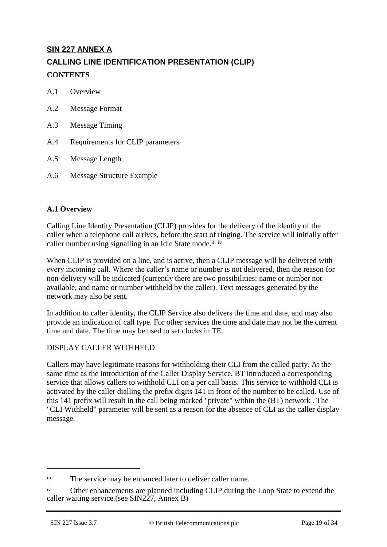### **SIN 227 ANNEX A CALLING LINE IDENTIFICATION PRESENTATION (CLIP)**

### **CONTENTS**

- A.1 Overview
- A.2 Message Format
- A.3 Message Timing
- A.4 Requirements for CLIP parameters
- A.5 Message Length
- A.6 Message Structure Example

### **A.1 Overview**

Calling Line Identity Presentation (CLIP) provides for the delivery of the identity of the caller when a telephone call arrives, before the start of ringing. The service will initially offer caller number using signalling in an Idle State mode.<sup>iii iv</sup>

When CLIP is provided on a line, and is active, then a CLIP message will be delivered with every incoming call. Where the caller's name or number is not delivered, then the reason for non-delivery will be indicated (currently there are two possibilities: name or number not available, and name or number withheld by the caller). Text messages generated by the network may also be sent.

In addition to caller identity, the CLIP Service also delivers the time and date, and may also provide an indication of call type. For other services the time and date may not be the current time and date. The time may be used to set clocks in TE.

### DISPLAY CALLER WITHHELD

Callers may have legitimate reasons for withholding their CLI from the called party. At the same time as the introduction of the Caller Display Service, BT introduced a corresponding service that allows callers to withhold CLI on a per call basis. This service to withhold CLI is activated by the caller dialling the prefix digits 141 in front of the number to be called. Use of this 141 prefix will result in the call being marked "private" within the (BT) network . The "CLI Withheld" parameter will be sent as a reason for the absence of CLI as the caller display message.

-

iii The service may be enhanced later to deliver caller name.

iv Other enhancements are planned including CLIP during the Loop State to extend the caller waiting service.(see SIN227, Annex B)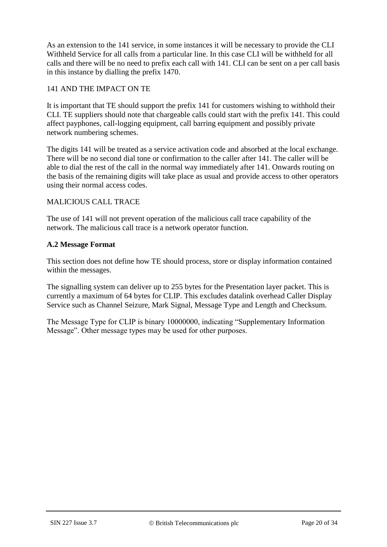As an extension to the 141 service, in some instances it will be necessary to provide the CLI Withheld Service for all calls from a particular line. In this case CLI will be withheld for all calls and there will be no need to prefix each call with 141. CLI can be sent on a per call basis in this instance by dialling the prefix 1470.

### 141 AND THE IMPACT ON TE

It is important that TE should support the prefix 141 for customers wishing to withhold their CLI. TE suppliers should note that chargeable calls could start with the prefix 141. This could affect payphones, call-logging equipment, call barring equipment and possibly private network numbering schemes.

The digits 141 will be treated as a service activation code and absorbed at the local exchange. There will be no second dial tone or confirmation to the caller after 141. The caller will be able to dial the rest of the call in the normal way immediately after 141. Onwards routing on the basis of the remaining digits will take place as usual and provide access to other operators using their normal access codes.

### MALICIOUS CALL TRACE

The use of 141 will not prevent operation of the malicious call trace capability of the network. The malicious call trace is a network operator function.

### **A.2 Message Format**

This section does not define how TE should process, store or display information contained within the messages.

The signalling system can deliver up to 255 bytes for the Presentation layer packet. This is currently a maximum of 64 bytes for CLIP. This excludes datalink overhead Caller Display Service such as Channel Seizure, Mark Signal, Message Type and Length and Checksum.

The Message Type for CLIP is binary 10000000, indicating "Supplementary Information Message". Other message types may be used for other purposes.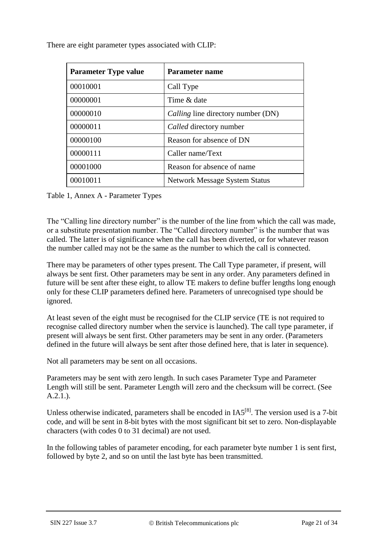There are eight parameter types associated with CLIP:

| <b>Parameter Type value</b> | Parameter name                       |
|-----------------------------|--------------------------------------|
| 00010001                    | Call Type                            |
| 00000001                    | Time & date                          |
| 00000010                    | Calling line directory number (DN)   |
| 00000011                    | Called directory number              |
| 00000100                    | Reason for absence of DN             |
| 00000111                    | Caller name/Text                     |
| 00001000                    | Reason for absence of name           |
| 00010011                    | <b>Network Message System Status</b> |

Table 1, Annex A - Parameter Types

The "Calling line directory number" is the number of the line from which the call was made, or a substitute presentation number. The "Called directory number" is the number that was called. The latter is of significance when the call has been diverted, or for whatever reason the number called may not be the same as the number to which the call is connected.

There may be parameters of other types present. The Call Type parameter, if present, will always be sent first. Other parameters may be sent in any order. Any parameters defined in future will be sent after these eight, to allow TE makers to define buffer lengths long enough only for these CLIP parameters defined here. Parameters of unrecognised type should be ignored.

At least seven of the eight must be recognised for the CLIP service (TE is not required to recognise called directory number when the service is launched). The call type parameter, if present will always be sent first. Other parameters may be sent in any order. (Parameters defined in the future will always be sent after those defined here, that is later in sequence).

Not all parameters may be sent on all occasions.

Parameters may be sent with zero length. In such cases Parameter Type and Parameter Length will still be sent. Parameter Length will zero and the checksum will be correct. (See A.2.1.).

Unless otherwise indicated, parameters shall be encoded in  $IA5^{[8]}$  $IA5^{[8]}$  $IA5^{[8]}$ . The version used is a 7-bit code, and will be sent in 8-bit bytes with the most significant bit set to zero. Non-displayable characters (with codes 0 to 31 decimal) are not used.

In the following tables of parameter encoding, for each parameter byte number 1 is sent first, followed by byte 2, and so on until the last byte has been transmitted.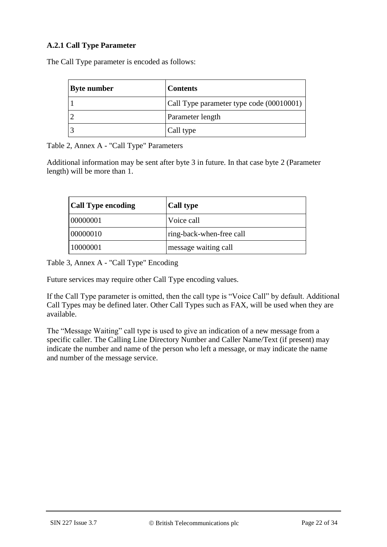### **A.2.1 Call Type Parameter**

The Call Type parameter is encoded as follows:

| <b>Byte number</b> | <b>Contents</b>                          |
|--------------------|------------------------------------------|
|                    | Call Type parameter type code (00010001) |
|                    | Parameter length                         |
|                    | Call type                                |

Table 2, Annex A - "Call Type" Parameters

Additional information may be sent after byte 3 in future. In that case byte 2 (Parameter length) will be more than 1.

| <b>Call Type encoding</b> | <b>Call type</b>         |
|---------------------------|--------------------------|
| 00000001                  | Voice call               |
| 00000010                  | ring-back-when-free call |
| 10000001                  | message waiting call     |

Table 3, Annex A - "Call Type" Encoding

Future services may require other Call Type encoding values.

If the Call Type parameter is omitted, then the call type is "Voice Call" by default. Additional Call Types may be defined later. Other Call Types such as FAX, will be used when they are available.

The "Message Waiting" call type is used to give an indication of a new message from a specific caller. The Calling Line Directory Number and Caller Name/Text (if present) may indicate the number and name of the person who left a message, or may indicate the name and number of the message service.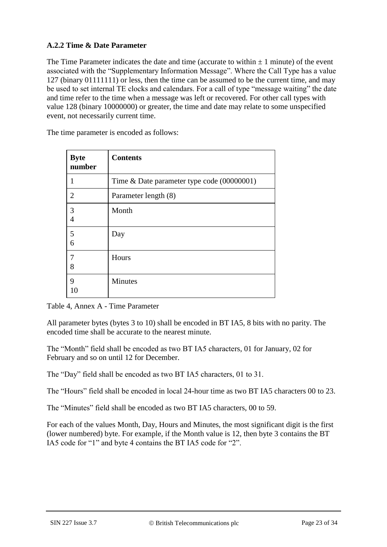### **A.2.2 Time & Date Parameter**

The Time Parameter indicates the date and time (accurate to within  $\pm 1$  minute) of the event associated with the "Supplementary Information Message". Where the Call Type has a value 127 (binary 01111111) or less, then the time can be assumed to be the current time, and may be used to set internal TE clocks and calendars. For a call of type "message waiting" the date and time refer to the time when a message was left or recovered. For other call types with value 128 (binary 10000000) or greater, the time and date may relate to some unspecified event, not necessarily current time.

The time parameter is encoded as follows:

| <b>Byte</b><br>number | <b>Contents</b>                            |
|-----------------------|--------------------------------------------|
|                       | Time & Date parameter type code (00000001) |
| $\overline{2}$        | Parameter length (8)                       |
| 3<br>$\overline{4}$   | Month                                      |
| 5<br>6                | Day                                        |
| 7<br>8                | Hours                                      |
| 9<br>10               | <b>Minutes</b>                             |

Table 4, Annex A - Time Parameter

All parameter bytes (bytes 3 to 10) shall be encoded in BT IA5, 8 bits with no parity. The encoded time shall be accurate to the nearest minute.

The "Month" field shall be encoded as two BT IA5 characters, 01 for January, 02 for February and so on until 12 for December.

The "Day" field shall be encoded as two BT IA5 characters, 01 to 31.

The "Hours" field shall be encoded in local 24-hour time as two BT IA5 characters 00 to 23.

The "Minutes" field shall be encoded as two BT IA5 characters, 00 to 59.

For each of the values Month, Day, Hours and Minutes, the most significant digit is the first (lower numbered) byte. For example, if the Month value is 12, then byte 3 contains the BT IA5 code for "1" and byte 4 contains the BT IA5 code for "2".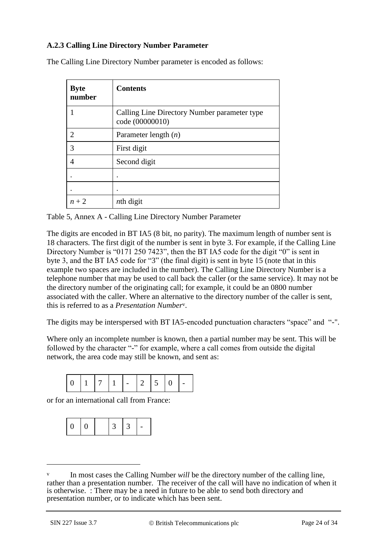### **A.2.3 Calling Line Directory Number Parameter**

| <b>Byte</b><br>number       | <b>Contents</b>                                                 |
|-----------------------------|-----------------------------------------------------------------|
|                             | Calling Line Directory Number parameter type<br>code (00000010) |
| $\mathcal{D}_{\mathcal{L}}$ | Parameter length $(n)$                                          |
| 3                           | First digit                                                     |
| 4                           | Second digit                                                    |
|                             |                                                                 |
|                             |                                                                 |
| $n+2$                       | $n$ th digit                                                    |

The Calling Line Directory Number parameter is encoded as follows:

Table 5, Annex A - Calling Line Directory Number Parameter

The digits are encoded in BT IA5 (8 bit, no parity). The maximum length of number sent is 18 characters. The first digit of the number is sent in byte 3. For example, if the Calling Line Directory Number is "0171 250 7423", then the BT IA5 code for the digit "0" is sent in byte 3, and the BT IA5 code for "3" (the final digit) is sent in byte 15 (note that in this example two spaces are included in the number). The Calling Line Directory Number is a telephone number that may be used to call back the caller (or the same service). It may not be the directory number of the originating call; for example, it could be an 0800 number associated with the caller. Where an alternative to the directory number of the caller is sent, this is referred to as a *Presentation Number*v.

The digits may be interspersed with BT IA5-encoded punctuation characters "space" and "-".

Where only an incomplete number is known, then a partial number may be sent. This will be followed by the character "-" for example, where a call comes from outside the digital network, the area code may still be known, and sent as:

or for an international call from France:



-

In most cases the Calling Number *will* be the directory number of the calling line, rather than a presentation number. The receiver of the call will have no indication of when it is otherwise. : There may be a need in future to be able to send both directory and presentation number, or to indicate which has been sent.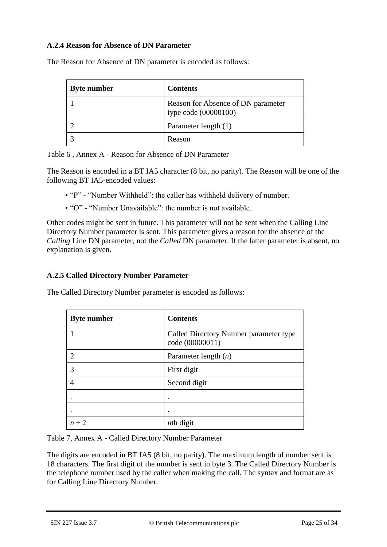### **A.2.4 Reason for Absence of DN Parameter**

| <b>Byte number</b> | <b>Contents</b>                                            |
|--------------------|------------------------------------------------------------|
|                    | Reason for Absence of DN parameter<br>type code (00000100) |
|                    | Parameter length (1)                                       |
|                    | Reason                                                     |

The Reason for Absence of DN parameter is encoded as follows:

Table 6 , Annex A - Reason for Absence of DN Parameter

The Reason is encoded in a BT IA5 character (8 bit, no parity). The Reason will be one of the following BT IA5-encoded values:

- "P" "Number Withheld": the caller has withheld delivery of number.
- "O" "Number Unavailable": the number is not available.

Other codes might be sent in future. This parameter will not be sent when the Calling Line Directory Number parameter is sent. This parameter gives a reason for the absence of the *Calling* Line DN parameter, not the *Called* DN parameter. If the latter parameter is absent, no explanation is given.

#### **A.2.5 Called Directory Number Parameter**

The Called Directory Number parameter is encoded as follows:

| <b>Byte number</b> | <b>Contents</b>                                           |
|--------------------|-----------------------------------------------------------|
|                    | Called Directory Number parameter type<br>code (00000011) |
| $\mathcal{D}$      | Parameter length $(n)$                                    |
| 3                  | First digit                                               |
|                    | Second digit                                              |
|                    |                                                           |
|                    |                                                           |
| $n+2$              | $n$ th digit                                              |

Table 7, Annex A - Called Directory Number Parameter

The digits are encoded in BT IA5 (8 bit, no parity). The maximum length of number sent is 18 characters. The first digit of the number is sent in byte 3. The Called Directory Number is the telephone number used by the caller when making the call. The syntax and format are as for Calling Line Directory Number.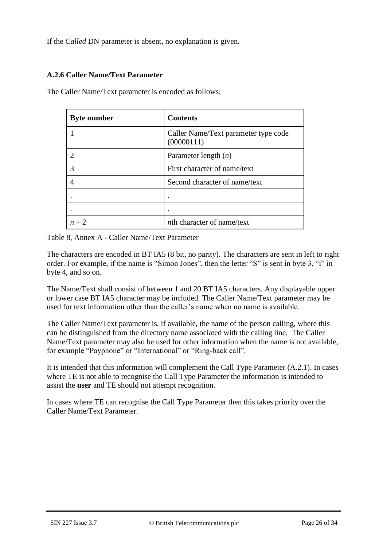If the *Called* DN parameter is absent, no explanation is given.

### **A.2.6 Caller Name/Text Parameter**

The Caller Name/Text parameter is encoded as follows:

| <b>Byte number</b> | <b>Contents</b>                                    |
|--------------------|----------------------------------------------------|
|                    | Caller Name/Text parameter type code<br>(00000111) |
|                    | Parameter length $(n)$                             |
| 3                  | First character of name/text                       |
|                    | Second character of name/text                      |
|                    | ٠                                                  |
|                    | ٠                                                  |
| $n+2$              | <i>nth</i> character of name/text                  |

Table 8, Annex A - Caller Name/Text Parameter

The characters are encoded in BT IA5 (8 bit, no parity). The characters are sent in left to right order. For example, if the name is "Simon Jones", then the letter "S" is sent in byte 3, "i" in byte 4, and so on.

The Name/Text shall consist of between 1 and 20 BT IA5 characters. Any displayable upper or lower case BT IA5 character may be included. The Caller Name/Text parameter may be used for text information other than the caller's name when no name is available.

The Caller Name/Text parameter is, if available, the name of the person calling, where this can be distinguished from the directory name associated with the calling line. The Caller Name/Text parameter may also be used for other information when the name is not available, for example "Payphone" or "International" or "Ring-back call".

It is intended that this information will complement the Call Type Parameter (A.2.1). In cases where TE is not able to recognise the Call Type Parameter the information is intended to assist the **user** and TE should not attempt recognition.

In cases where TE can recognise the Call Type Parameter then this takes priority over the Caller Name/Text Parameter.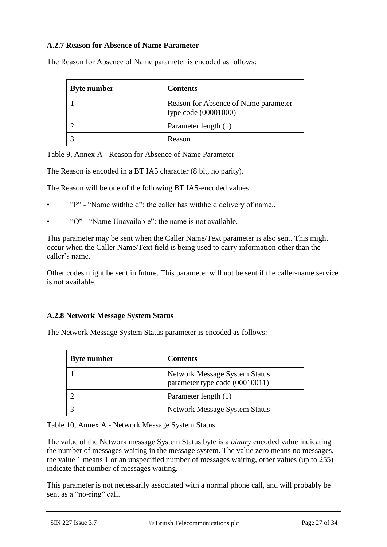### **A.2.7 Reason for Absence of Name Parameter**

| <b>Byte number</b> | <b>Contents</b>                                              |
|--------------------|--------------------------------------------------------------|
|                    | Reason for Absence of Name parameter<br>type code (00001000) |
|                    | Parameter length (1)                                         |
|                    | Reason                                                       |

The Reason for Absence of Name parameter is encoded as follows:

Table 9, Annex A - Reason for Absence of Name Parameter

The Reason is encoded in a BT IA5 character (8 bit, no parity).

The Reason will be one of the following BT IA5-encoded values:

- "P" "Name withheld": the caller has withheld delivery of name..
- "O" "Name Unavailable": the name is not available.

This parameter may be sent when the Caller Name/Text parameter is also sent. This might occur when the Caller Name/Text field is being used to carry information other than the caller's name.

Other codes might be sent in future. This parameter will not be sent if the caller-name service is not available.

#### **A.2.8 Network Message System Status**

The Network Message System Status parameter is encoded as follows:

| <b>Byte number</b> | <b>Contents</b>                                                        |
|--------------------|------------------------------------------------------------------------|
|                    | <b>Network Message System Status</b><br>parameter type code (00010011) |
|                    | Parameter length (1)                                                   |
|                    | <b>Network Message System Status</b>                                   |

Table 10, Annex A - Network Message System Status

The value of the Network message System Status byte is a *binary* encoded value indicating the number of messages waiting in the message system. The value zero means no messages, the value 1 means 1 or an unspecified number of messages waiting, other values (up to 255) indicate that number of messages waiting.

This parameter is not necessarily associated with a normal phone call, and will probably be sent as a "no-ring" call.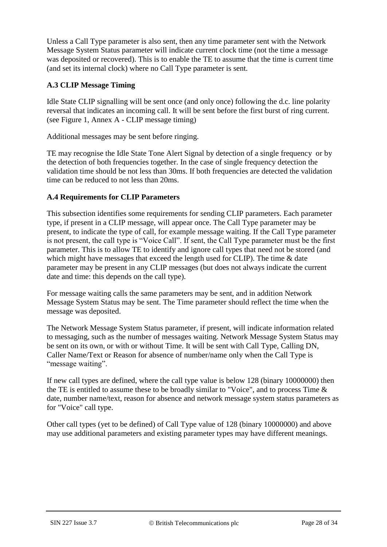Unless a Call Type parameter is also sent, then any time parameter sent with the Network Message System Status parameter will indicate current clock time (not the time a message was deposited or recovered). This is to enable the TE to assume that the time is current time (and set its internal clock) where no Call Type parameter is sent.

### **A.3 CLIP Message Timing**

Idle State CLIP signalling will be sent once (and only once) following the d.c. line polarity reversal that indicates an incoming call. It will be sent before the first burst of ring current. (see Figure 1, Annex A - CLIP message timing)

Additional messages may be sent before ringing.

TE may recognise the Idle State Tone Alert Signal by detection of a single frequency or by the detection of both frequencies together. In the case of single frequency detection the validation time should be not less than 30ms. If both frequencies are detected the validation time can be reduced to not less than 20ms.

### **A.4 Requirements for CLIP Parameters**

This subsection identifies some requirements for sending CLIP parameters. Each parameter type, if present in a CLIP message, will appear once. The Call Type parameter may be present, to indicate the type of call, for example message waiting. If the Call Type parameter is not present, the call type is "Voice Call". If sent, the Call Type parameter must be the first parameter. This is to allow TE to identify and ignore call types that need not be stored (and which might have messages that exceed the length used for CLIP). The time  $\&$  date parameter may be present in any CLIP messages (but does not always indicate the current date and time: this depends on the call type).

For message waiting calls the same parameters may be sent, and in addition Network Message System Status may be sent. The Time parameter should reflect the time when the message was deposited.

The Network Message System Status parameter, if present, will indicate information related to messaging, such as the number of messages waiting. Network Message System Status may be sent on its own, or with or without Time. It will be sent with Call Type, Calling DN, Caller Name/Text or Reason for absence of number/name only when the Call Type is "message waiting".

If new call types are defined, where the call type value is below 128 (binary 10000000) then the TE is entitled to assume these to be broadly similar to "Voice", and to process Time & date, number name/text, reason for absence and network message system status parameters as for "Voice" call type.

Other call types (yet to be defined) of Call Type value of 128 (binary 10000000) and above may use additional parameters and existing parameter types may have different meanings.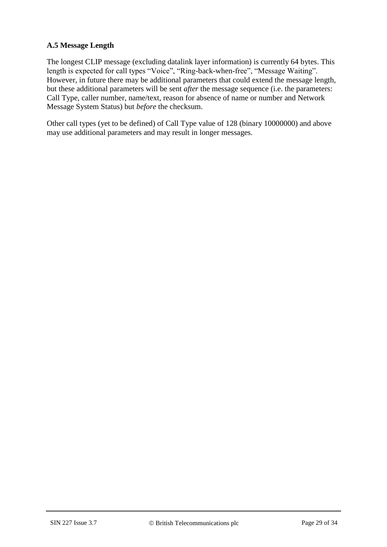### **A.5 Message Length**

The longest CLIP message (excluding datalink layer information) is currently 64 bytes. This length is expected for call types "Voice", "Ring-back-when-free", "Message Waiting". However, in future there may be additional parameters that could extend the message length, but these additional parameters will be sent *after* the message sequence (i.e. the parameters: Call Type, caller number, name/text, reason for absence of name or number and Network Message System Status) but *before* the checksum.

Other call types (yet to be defined) of Call Type value of 128 (binary 10000000) and above may use additional parameters and may result in longer messages.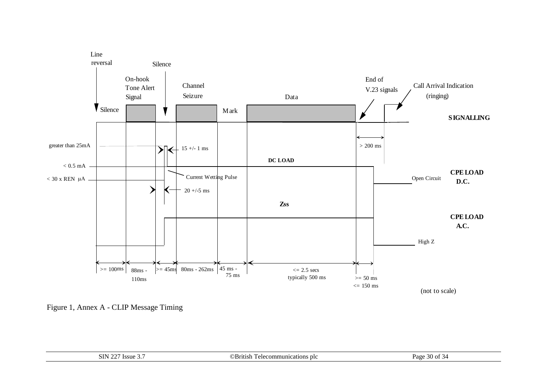

Figure 1, Annex A - CLIP Message Timing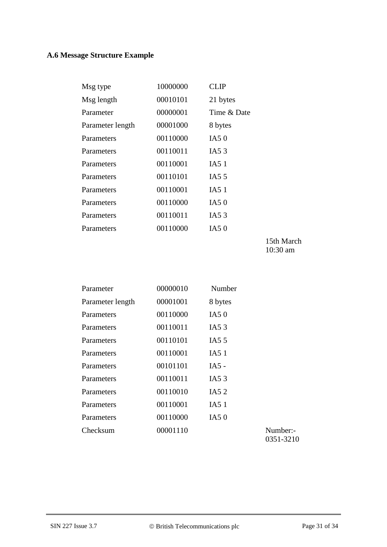## **A.6 Message Structure Example**

| Msg type         | 10000000 | CLIP                |
|------------------|----------|---------------------|
| Msg length       | 00010101 | 21 bytes            |
| Parameter        | 00000001 | Time & Date         |
| Parameter length | 00001000 | 8 bytes             |
| Parameters       | 00110000 | IA50                |
| Parameters       | 00110011 | IA5 $3$             |
| Parameters       | 00110001 | IA5 1               |
| Parameters       | 00110101 | IA <sub>5</sub> $5$ |
| Parameters       | 00110001 | IA5 1               |
| Parameters       | 00110000 | IA50                |
| Parameters       | 00110011 | IA5 $3$             |
| Parameters       | 00110000 | IA50                |
|                  |          |                     |

15th March 10:30 am

| Parameter        | 00000010 | Number  |                       |
|------------------|----------|---------|-----------------------|
| Parameter length | 00001001 | 8 bytes |                       |
| Parameters       | 00110000 | IA5 $0$ |                       |
| Parameters       | 00110011 | IA5 $3$ |                       |
| Parameters       | 00110101 | IA5 $5$ |                       |
| Parameters       | 00110001 | IA5 1   |                       |
| Parameters       | 00101101 | IA5 -   |                       |
| Parameters       | 00110011 | IA5 $3$ |                       |
| Parameters       | 00110010 | IA5 2   |                       |
| Parameters       | 00110001 | IA5 1   |                       |
| Parameters       | 00110000 | IA5 $0$ |                       |
| Checksum         | 00001110 |         | Number:-<br>0351-3210 |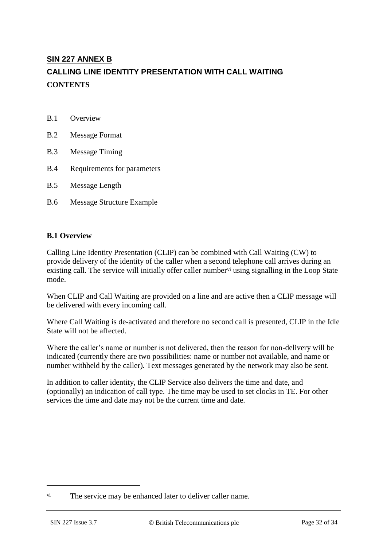# **SIN 227 ANNEX B CALLING LINE IDENTITY PRESENTATION WITH CALL WAITING CONTENTS**

| Overview |
|----------|
|          |

- B.2 Message Format
- B.3 Message Timing
- B.4 Requirements for parameters
- B.5 Message Length
- B.6 Message Structure Example

### **B.1 Overview**

Calling Line Identity Presentation (CLIP) can be combined with Call Waiting (CW) to provide delivery of the identity of the caller when a second telephone call arrives during an existing call. The service will initially offer caller number vi using signalling in the Loop State mode.

When CLIP and Call Waiting are provided on a line and are active then a CLIP message will be delivered with every incoming call.

Where Call Waiting is de-activated and therefore no second call is presented, CLIP in the Idle State will not be affected.

Where the caller's name or number is not delivered, then the reason for non-delivery will be indicated (currently there are two possibilities: name or number not available, and name or number withheld by the caller). Text messages generated by the network may also be sent.

In addition to caller identity, the CLIP Service also delivers the time and date, and (optionally) an indication of call type. The time may be used to set clocks in TE. For other services the time and date may not be the current time and date.

1

vi The service may be enhanced later to deliver caller name.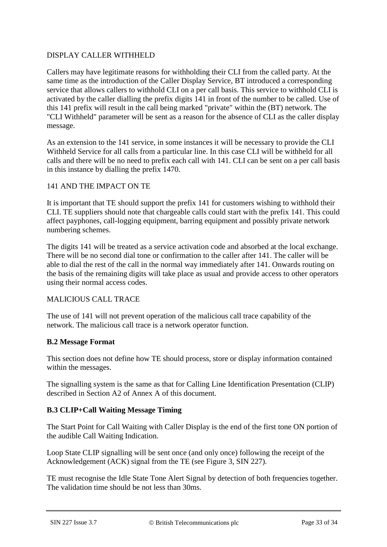### DISPLAY CALLER WITHHELD

Callers may have legitimate reasons for withholding their CLI from the called party. At the same time as the introduction of the Caller Display Service, BT introduced a corresponding service that allows callers to withhold CLI on a per call basis. This service to withhold CLI is activated by the caller dialling the prefix digits 141 in front of the number to be called. Use of this 141 prefix will result in the call being marked "private" within the (BT) network. The "CLI Withheld" parameter will be sent as a reason for the absence of CLI as the caller display message.

As an extension to the 141 service, in some instances it will be necessary to provide the CLI Withheld Service for all calls from a particular line. In this case CLI will be withheld for all calls and there will be no need to prefix each call with 141. CLI can be sent on a per call basis in this instance by dialling the prefix 1470.

### 141 AND THE IMPACT ON TE

It is important that TE should support the prefix 141 for customers wishing to withhold their CLI. TE suppliers should note that chargeable calls could start with the prefix 141. This could affect payphones, call-logging equipment, barring equipment and possibly private network numbering schemes.

The digits 141 will be treated as a service activation code and absorbed at the local exchange. There will be no second dial tone or confirmation to the caller after 141. The caller will be able to dial the rest of the call in the normal way immediately after 141. Onwards routing on the basis of the remaining digits will take place as usual and provide access to other operators using their normal access codes.

### MALICIOUS CALL TRACE

The use of 141 will not prevent operation of the malicious call trace capability of the network. The malicious call trace is a network operator function.

### **B.2 Message Format**

This section does not define how TE should process, store or display information contained within the messages.

The signalling system is the same as that for Calling Line Identification Presentation (CLIP) described in Section A2 of Annex A of this document.

### **B.3 CLIP+Call Waiting Message Timing**

The Start Point for Call Waiting with Caller Display is the end of the first tone ON portion of the audible Call Waiting Indication.

Loop State CLIP signalling will be sent once (and only once) following the receipt of the Acknowledgement (ACK) signal from the TE (see Figure 3, SIN 227).

TE must recognise the Idle State Tone Alert Signal by detection of both frequencies together. The validation time should be not less than 30ms.